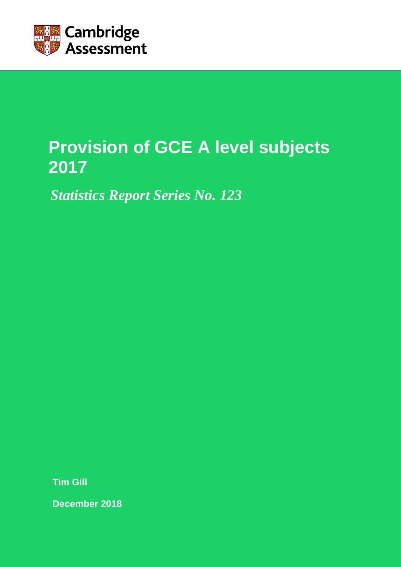

# **Provision of GCE A level subjects 2017**

*Statistics Report Series No. 123*

**Tim Gill** 

**December 2018**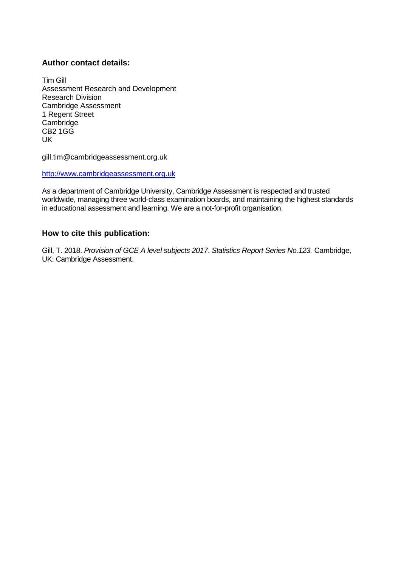### **Author contact details:**

Tim Gill Assessment Research and Development Research Division Cambridge Assessment 1 Regent Street **Cambridge** CB2 1GG UK

gill.tim@cambridgeassessment.org.uk

[http://www.cambridgeassessment.org.uk](http://www.cambridgeassessment.org.uk/)

As a department of Cambridge University, Cambridge Assessment is respected and trusted worldwide, managing three world-class examination boards, and maintaining the highest standards in educational assessment and learning. We are a not-for-profit organisation.

#### **How to cite this publication:**

Gill, T. 2018. *Provision of GCE A level subjects 2017*. *Statistics Report Series No.123.* Cambridge, UK: Cambridge Assessment.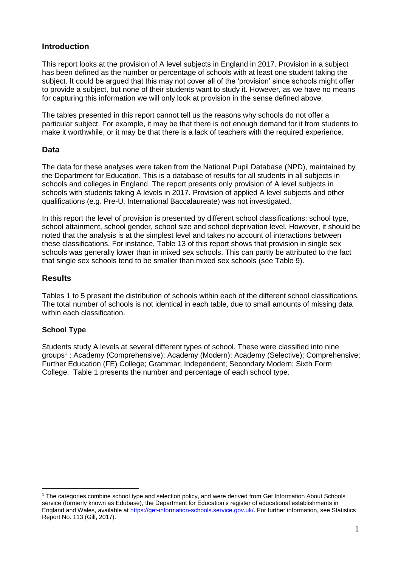## **Introduction**

This report looks at the provision of A level subjects in England in 2017. Provision in a subject has been defined as the number or percentage of schools with at least one student taking the subject. It could be argued that this may not cover all of the 'provision' since schools might offer to provide a subject, but none of their students want to study it. However, as we have no means for capturing this information we will only look at provision in the sense defined above.

The tables presented in this report cannot tell us the reasons why schools do not offer a particular subject. For example, it may be that there is not enough demand for it from students to make it worthwhile, or it may be that there is a lack of teachers with the required experience.

# **Data**

The data for these analyses were taken from the National Pupil Database (NPD), maintained by the Department for Education. This is a database of results for all students in all subjects in schools and colleges in England. The report presents only provision of A level subjects in schools with students taking A levels in 2017. Provision of applied A level subjects and other qualifications (e.g. Pre-U, International Baccalaureate) was not investigated.

In this report the level of provision is presented by different school classifications: school type, school attainment, school gender, school size and school deprivation level. However, it should be noted that the analysis is at the simplest level and takes no account of interactions between these classifications. For instance, Table 13 of this report shows that provision in single sex schools was generally lower than in mixed sex schools. This can partly be attributed to the fact that single sex schools tend to be smaller than mixed sex schools (see Table 9).

# **Results**

Tables 1 to 5 present the distribution of schools within each of the different school classifications. The total number of schools is not identical in each table, due to small amounts of missing data within each classification.

## **School Type**

 $\overline{a}$ 

Students study A levels at several different types of school. These were classified into nine groups<sup>1</sup>: Academy (Comprehensive); Academy (Modern); Academy (Selective); Comprehensive; Further Education (FE) College; Grammar; Independent; Secondary Modern; Sixth Form College. Table 1 presents the number and percentage of each school type.

<sup>1</sup> The categories combine school type and selection policy, and were derived from Get Information About Schools service (formerly known as Edubase), the Department for Education's register of educational establishments in England and Wales, available at [https://get-information-schools.service.gov.uk/.](https://get-information-schools.service.gov.uk/) For further information, see Statistics Report No. 113 (Gill, 2017).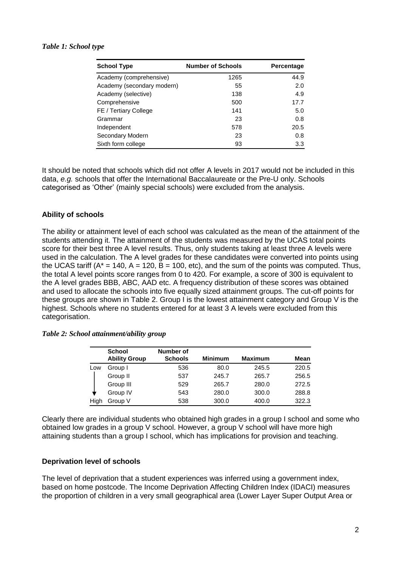| <b>School Type</b>         | <b>Number of Schools</b> | Percentage |
|----------------------------|--------------------------|------------|
| Academy (comprehensive)    | 1265                     | 44.9       |
| Academy (secondary modern) | 55                       | 2.0        |
| Academy (selective)        | 138                      | 4.9        |
| Comprehensive              | 500                      | 17.7       |
| FE / Tertiary College      | 141                      | 5.0        |
| Grammar                    | 23                       | 0.8        |
| Independent                | 578                      | 20.5       |
| Secondary Modern           | 23                       | 0.8        |
| Sixth form college         | 93                       | 3.3        |

It should be noted that schools which did not offer A levels in 2017 would not be included in this data, *e.g.* schools that offer the International Baccalaureate or the Pre-U only. Schools categorised as 'Other' (mainly special schools) were excluded from the analysis.

#### **Ability of schools**

The ability or attainment level of each school was calculated as the mean of the attainment of the students attending it. The attainment of the students was measured by the UCAS total points score for their best three A level results. Thus, only students taking at least three A levels were used in the calculation. The A level grades for these candidates were converted into points using the UCAS tariff ( $A^* = 140$ ,  $A = 120$ ,  $B = 100$ , etc), and the sum of the points was computed. Thus, the total A level points score ranges from 0 to 420. For example, a score of 300 is equivalent to the A level grades BBB, ABC, AAD etc. A frequency distribution of these scores was obtained and used to allocate the schools into five equally sized attainment groups. The cut-off points for these groups are shown in Table 2. Group I is the lowest attainment category and Group V is the highest. Schools where no students entered for at least 3 A levels were excluded from this categorisation.

|      | <b>School</b><br><b>Ability Group</b> | Number of<br><b>Schools</b> | <b>Minimum</b> | <b>Maximum</b> | Mean  |
|------|---------------------------------------|-----------------------------|----------------|----------------|-------|
| Low  | Group I                               | 536                         | 80.0           | 245.5          | 220.5 |
|      | Group II                              | 537                         | 245.7          | 265.7          | 256.5 |
|      | Group III                             | 529                         | 265.7          | 280.0          | 272.5 |
|      | Group IV                              | 543                         | 280.0          | 300.0          | 288.8 |
| High | Group V                               | 538                         | 300.0          | 400.0          | 322.3 |

*Table 2: School attainment/ability group*

Clearly there are individual students who obtained high grades in a group I school and some who obtained low grades in a group V school. However, a group V school will have more high attaining students than a group I school, which has implications for provision and teaching.

#### **Deprivation level of schools**

The level of deprivation that a student experiences was inferred using a government index, based on home postcode. The Income Deprivation Affecting Children Index (IDACI) measures the proportion of children in a very small geographical area (Lower Layer Super Output Area or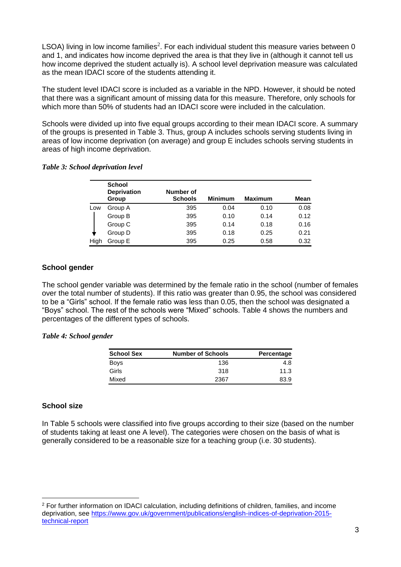LSOA) living in low income families<sup>2</sup>. For each individual student this measure varies between 0 and 1, and indicates how income deprived the area is that they live in (although it cannot tell us how income deprived the student actually is). A school level deprivation measure was calculated as the mean IDACI score of the students attending it.

The student level IDACI score is included as a variable in the NPD. However, it should be noted that there was a significant amount of missing data for this measure. Therefore, only schools for which more than 50% of students had an IDACI score were included in the calculation.

Schools were divided up into five equal groups according to their mean IDACI score. A summary of the groups is presented in Table 3. Thus, group A includes schools serving students living in areas of low income deprivation (on average) and group E includes schools serving students in areas of high income deprivation.

|  |  |  |  | Table 3: School deprivation level |  |
|--|--|--|--|-----------------------------------|--|
|--|--|--|--|-----------------------------------|--|

|      | <b>School</b><br><b>Deprivation</b><br>Group | Number of<br><b>Schools</b> | <b>Minimum</b> | <b>Maximum</b> | Mean |
|------|----------------------------------------------|-----------------------------|----------------|----------------|------|
| Low  | Group A                                      | 395                         | 0.04           | 0.10           | 0.08 |
|      | Group B                                      | 395                         | 0.10           | 0.14           | 0.12 |
|      | Group C                                      | 395                         | 0.14           | 0.18           | 0.16 |
|      | Group D                                      | 395                         | 0.18           | 0.25           | 0.21 |
| High | Group E                                      | 395                         | 0.25           | 0.58           | 0.32 |

#### **School gender**

The school gender variable was determined by the female ratio in the school (number of females over the total number of students). If this ratio was greater than 0.95, the school was considered to be a "Girls" school. If the female ratio was less than 0.05, then the school was designated a "Boys" school. The rest of the schools were "Mixed" schools. Table 4 shows the numbers and percentages of the different types of schools.

#### *Table 4: School gender*

| <b>School Sex</b> | <b>Number of Schools</b> | Percentage |
|-------------------|--------------------------|------------|
| <b>Boys</b>       | 136                      | 4.8        |
| Girls             | 318                      | 11.3       |
| Mixed             | 2367                     | 83.9       |

#### **School size**

 $\overline{a}$ 

In Table 5 schools were classified into five groups according to their size (based on the number of students taking at least one A level). The categories were chosen on the basis of what is generally considered to be a reasonable size for a teaching group (i.e. 30 students).

<sup>2</sup> For further information on IDACI calculation, including definitions of children, families, and income deprivation, see [https://www.gov.uk/government/publications/english-indices-of-deprivation-2015](https://www.gov.uk/government/publications/english-indices-of-deprivation-2015-technical-report) [technical-report](https://www.gov.uk/government/publications/english-indices-of-deprivation-2015-technical-report)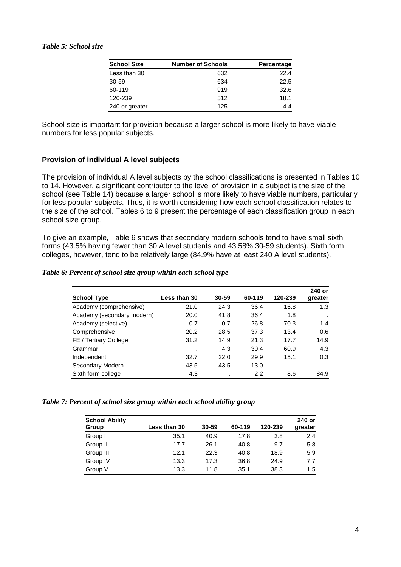| <b>School Size</b> | <b>Number of Schools</b> | Percentage |
|--------------------|--------------------------|------------|
| Less than 30       | 632                      | 22.4       |
| 30-59              | 634                      | 22.5       |
| 60-119             | 919                      | 32.6       |
| 120-239            | 512                      | 18.1       |
| 240 or greater     | 125                      | 4.4        |

School size is important for provision because a larger school is more likely to have viable numbers for less popular subjects.

#### **Provision of individual A level subjects**

The provision of individual A level subjects by the school classifications is presented in Tables 10 to 14. However, a significant contributor to the level of provision in a subject is the size of the school (see Table 14) because a larger school is more likely to have viable numbers, particularly for less popular subjects. Thus, it is worth considering how each school classification relates to the size of the school. Tables 6 to 9 present the percentage of each classification group in each school size group.

To give an example, Table 6 shows that secondary modern schools tend to have small sixth forms (43.5% having fewer than 30 A level students and 43.58% 30-59 students). Sixth form colleges, however, tend to be relatively large (84.9% have at least 240 A level students).

#### *Table 6: Percent of school size group within each school type*

| <b>School Type</b>         | Less than 30 | 30-59 | 60-119 | 120-239 | 240 or<br>greater |
|----------------------------|--------------|-------|--------|---------|-------------------|
| Academy (comprehensive)    | 21.0         | 24.3  | 36.4   | 16.8    | 1.3               |
| Academy (secondary modern) | 20.0         | 41.8  | 36.4   | 1.8     | ٠                 |
| Academy (selective)        | 0.7          | 0.7   | 26.8   | 70.3    | 1.4               |
| Comprehensive              | 20.2         | 28.5  | 37.3   | 13.4    | 0.6               |
| FE / Tertiary College      | 31.2         | 14.9  | 21.3   | 17.7    | 14.9              |
| Grammar                    | ٠            | 4.3   | 30.4   | 60.9    | 4.3               |
| Independent                | 32.7         | 22.0  | 29.9   | 15.1    | 0.3               |
| Secondary Modern           | 43.5         | 43.5  | 13.0   |         |                   |
| Sixth form college         | 4.3          |       | 2.2    | 8.6     | 84.9              |

*Table 7: Percent of school size group within each school ability group*

| <b>School Ability</b> |                     |       |        |         | 240 or  |
|-----------------------|---------------------|-------|--------|---------|---------|
| Group                 | <b>Less than 30</b> | 30-59 | 60-119 | 120-239 | greater |
| Group I               | 35.1                | 40.9  | 17.8   | 3.8     | 2.4     |
| Group II              | 17.7                | 26.1  | 40.8   | 9.7     | 5.8     |
| Group III             | 12.1                | 22.3  | 40.8   | 18.9    | 5.9     |
| Group IV              | 13.3                | 17.3  | 36.8   | 24.9    | 7.7     |
| Group V               | 13.3                | 11.8  | 35.1   | 38.3    | 1.5     |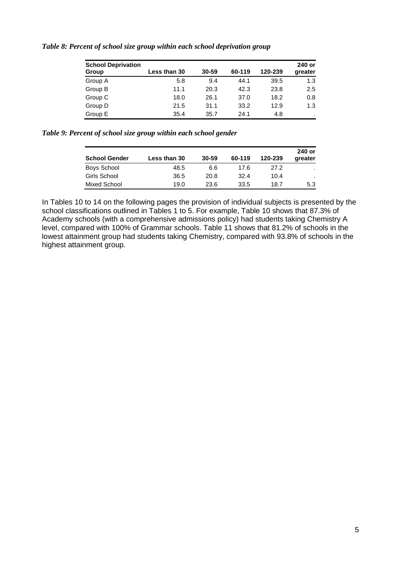| <b>School Deprivation</b><br>Group | Less than 30 | 30-59 | 60-119 | 120-239 | 240 or<br>greater |
|------------------------------------|--------------|-------|--------|---------|-------------------|
| Group A                            | 5.8          | 9.4   | 44.1   | 39.5    | 1.3               |
| Group B                            | 11.1         | 20.3  | 42.3   | 23.8    | 2.5               |
| Group C                            | 18.0         | 26.1  | 37.0   | 18.2    | 0.8               |
| Group D                            | 21.5         | 31.1  | 33.2   | 12.9    | 1.3               |
| Group E                            | 35.4         | 35.7  | 24.1   | 4.8     |                   |

*Table 8: Percent of school size group within each school deprivation group*

*Table 9: Percent of school size group within each school gender*

| <b>School Gender</b> | Less than 30 | 30-59 | 60-119 | 120-239 | 240 or<br>greater |
|----------------------|--------------|-------|--------|---------|-------------------|
| <b>Boys School</b>   | 48.5         | 6.6   | 17.6   | 27.2    |                   |
| Girls School         | 36.5         | 20.8  | 32.4   | 10.4    |                   |
| Mixed School         | 19.0         | 23.6  | 33.5   | 18.7    | 5.3               |

In Tables 10 to 14 on the following pages the provision of individual subjects is presented by the school classifications outlined in Tables 1 to 5. For example, Table 10 shows that 87.3% of Academy schools (with a comprehensive admissions policy) had students taking Chemistry A level, compared with 100% of Grammar schools. Table 11 shows that 81.2% of schools in the lowest attainment group had students taking Chemistry, compared with 93.8% of schools in the highest attainment group.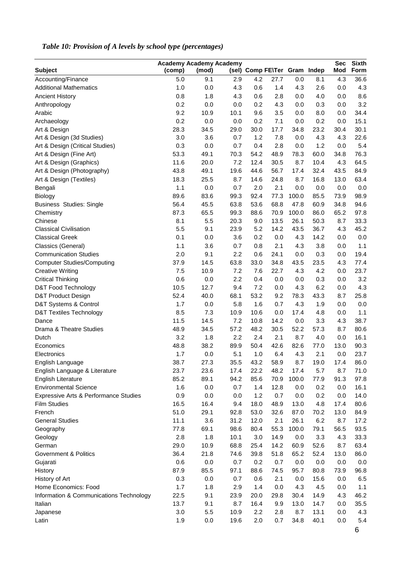| <b>Sec</b><br><b>Academy Academy Academy</b> |        |       |      |                              |         |       |      | <b>Sixth</b> |      |
|----------------------------------------------|--------|-------|------|------------------------------|---------|-------|------|--------------|------|
| <b>Subject</b>                               | (comp) | (mod) |      | (sel) Comp FE\Ter Gram Indep |         |       |      | Mod          | Form |
| Accounting/Finance                           | 5.0    | 9.1   | 2.9  | 4.2                          | 27.7    | 0.0   | 8.1  | 4.3          | 36.6 |
| <b>Additional Mathematics</b>                | 1.0    | 0.0   | 4.3  | 0.6                          | 1.4     | 4.3   | 2.6  | 0.0          | 4.3  |
| <b>Ancient History</b>                       | 0.8    | 1.8   | 4.3  | 0.6                          | 2.8     | 0.0   | 4.0  | 0.0          | 8.6  |
| Anthropology                                 | 0.2    | 0.0   | 0.0  | 0.2                          | 4.3     | 0.0   | 0.3  | 0.0          | 3.2  |
| Arabic                                       | 9.2    | 10.9  | 10.1 | 9.6                          | 3.5     | 0.0   | 8.0  | 0.0          | 34.4 |
| Archaeology                                  | 0.2    | 0.0   | 0.0  | 0.2                          | 7.1     | 0.0   | 0.2  | 0.0          | 15.1 |
| Art & Design                                 | 28.3   | 34.5  | 29.0 | 30.0                         | 17.7    | 34.8  | 23.2 | 30.4         | 30.1 |
| Art & Design (3d Studies)                    | 3.0    | 3.6   | 0.7  | 1.2                          | 7.8     | 0.0   | 4.3  | 4.3          | 22.6 |
| Art & Design (Critical Studies)              | 0.3    | 0.0   | 0.7  | 0.4                          | 2.8     | 0.0   | 1.2  | 0.0          | 5.4  |
| Art & Design (Fine Art)                      | 53.3   | 49.1  | 70.3 | 54.2                         | 48.9    | 78.3  | 60.0 | 34.8         | 76.3 |
| Art & Design (Graphics)                      | 11.6   | 20.0  | 7.2  | 12.4                         | 30.5    | 8.7   | 10.4 | 4.3          | 64.5 |
| Art & Design (Photography)                   | 43.8   | 49.1  | 19.6 | 44.6                         | 56.7    | 17.4  | 32.4 | 43.5         | 84.9 |
| Art & Design (Textiles)                      | 18.3   | 25.5  | 8.7  | 14.6                         | 24.8    | 8.7   | 16.8 | 13.0         | 63.4 |
| Bengali                                      | 1.1    | 0.0   | 0.7  | 2.0                          | 2.1     | 0.0   | 0.0  | 0.0          | 0.0  |
| Biology                                      | 89.6   | 83.6  | 99.3 | 92.4                         | 77.3    | 100.0 | 85.5 | 73.9         | 98.9 |
| <b>Business Studies: Single</b>              | 56.4   | 45.5  | 63.8 | 53.6                         | 68.8    | 47.8  | 60.9 | 34.8         | 94.6 |
| Chemistry                                    | 87.3   | 65.5  | 99.3 | 88.6                         | 70.9    | 100.0 | 86.0 | 65.2         | 97.8 |
| Chinese                                      | 8.1    | 5.5   | 20.3 | 9.0                          | 13.5    | 26.1  | 50.3 | 8.7          | 33.3 |
| <b>Classical Civilisation</b>                | 5.5    | 9.1   | 23.9 | 5.2                          | 14.2    | 43.5  | 36.7 | 4.3          | 45.2 |
| <b>Classical Greek</b>                       | 0.1    | 0.0   | 3.6  | 0.2                          | $0.0\,$ | 4.3   | 14.2 | 0.0          | 0.0  |
| Classics (General)                           | 1.1    | 3.6   | 0.7  | 0.8                          | 2.1     | 4.3   | 3.8  | 0.0          | 1.1  |
| <b>Communication Studies</b>                 | 2.0    | 9.1   | 2.2  | 0.6                          | 24.1    | 0.0   | 0.3  | 0.0          | 19.4 |
|                                              | 37.9   |       |      |                              |         |       |      |              |      |
| <b>Computer Studies/Computing</b>            |        | 14.5  | 63.8 | 33.0                         | 34.8    | 43.5  | 23.5 | 4.3          | 77.4 |
| <b>Creative Writing</b>                      | 7.5    | 10.9  | 7.2  | 7.6                          | 22.7    | 4.3   | 4.2  | 0.0          | 23.7 |
| <b>Critical Thinking</b>                     | 0.6    | 0.0   | 2.2  | 0.4                          | 0.0     | 0.0   | 0.3  | 0.0          | 3.2  |
| D&T Food Technology                          | 10.5   | 12.7  | 9.4  | 7.2                          | 0.0     | 4.3   | 6.2  | 0.0          | 4.3  |
| D&T Product Design                           | 52.4   | 40.0  | 68.1 | 53.2                         | 9.2     | 78.3  | 43.3 | 8.7          | 25.8 |
| D&T Systems & Control                        | 1.7    | 0.0   | 5.8  | 1.6                          | 0.7     | 4.3   | 1.9  | 0.0          | 0.0  |
| <b>D&amp;T Textiles Technology</b>           | 8.5    | 7.3   | 10.9 | 10.6                         | 0.0     | 17.4  | 4.8  | 0.0          | 1.1  |
| Dance                                        | 11.5   | 14.5  | 7.2  | 10.8                         | 14.2    | 0.0   | 3.3  | 4.3          | 38.7 |
| Drama & Theatre Studies                      | 48.9   | 34.5  | 57.2 | 48.2                         | 30.5    | 52.2  | 57.3 | 8.7          | 80.6 |
| Dutch                                        | 3.2    | 1.8   | 2.2  | 2.4                          | 2.1     | 8.7   | 4.0  | 0.0          | 16.1 |
| Economics                                    | 48.8   | 38.2  | 89.9 | 50.4                         | 42.6    | 82.6  | 77.0 | 13.0         | 90.3 |
| Electronics                                  | 1.7    | 0.0   | 5.1  | 1.0                          | 6.4     | 4.3   | 2.1  | 0.0          | 23.7 |
| English Language                             | 38.7   | 27.3  | 35.5 | 43.2                         | 58.9    | 8.7   | 19.0 | 17.4         | 86.0 |
| English Language & Literature                | 23.7   | 23.6  | 17.4 | 22.2                         | 48.2    | 17.4  | 5.7  | 8.7          | 71.0 |
| English Literature                           | 85.2   | 89.1  | 94.2 | 85.6                         | 70.9    | 100.0 | 77.9 | 91.3         | 97.8 |
| <b>Environmental Science</b>                 | 1.6    | 0.0   | 0.7  | 1.4                          | 12.8    | 0.0   | 0.2  | 0.0          | 16.1 |
| Expressive Arts & Performance Studies        | 0.9    | 0.0   | 0.0  | 1.2                          | 0.7     | 0.0   | 0.2  | 0.0          | 14.0 |
| <b>Film Studies</b>                          | 16.5   | 16.4  | 9.4  | 18.0                         | 48.9    | 13.0  | 4.8  | 17.4         | 80.6 |
| French                                       | 51.0   | 29.1  | 92.8 | 53.0                         | 32.6    | 87.0  | 70.2 | 13.0         | 84.9 |
| <b>General Studies</b>                       | 11.1   | 3.6   | 31.2 | 12.0                         | 2.1     | 26.1  | 6.2  | 8.7          | 17.2 |
| Geography                                    | 77.8   | 69.1  | 98.6 | 80.4                         | 55.3    | 100.0 | 79.1 | 56.5         | 93.5 |
| Geology                                      | 2.8    | 1.8   | 10.1 | 3.0                          | 14.9    | 0.0   | 3.3  | 4.3          | 33.3 |
| German                                       | 29.0   | 10.9  | 68.8 | 25.4                         | 14.2    | 60.9  | 52.6 | 8.7          | 63.4 |
| Government & Politics                        | 36.4   | 21.8  | 74.6 | 39.8                         | 51.8    | 65.2  | 52.4 | 13.0         | 86.0 |
| Gujarati                                     | 0.6    | 0.0   | 0.7  | 0.2                          | 0.7     | 0.0   | 0.0  | 0.0          | 0.0  |
| History                                      | 87.9   | 85.5  | 97.1 | 88.6                         | 74.5    | 95.7  | 80.8 | 73.9         | 96.8 |
| History of Art                               | 0.3    | 0.0   | 0.7  | 0.6                          | 2.1     | 0.0   | 15.6 | 0.0          | 6.5  |
| Home Economics: Food                         | 1.7    | 1.8   | 2.9  | 1.4                          | 0.0     | 4.3   | 4.5  | 0.0          | 1.1  |
| Information & Communications Technology      | 22.5   | 9.1   | 23.9 | 20.0                         | 29.8    | 30.4  | 14.9 | 4.3          | 46.2 |
| Italian                                      | 13.7   | 9.1   | 8.7  | 16.4                         | 9.9     | 13.0  | 14.7 | 0.0          | 35.5 |
| Japanese                                     | 3.0    | 5.5   | 10.9 | 2.2                          | 2.8     | 8.7   | 13.1 | 0.0          | 4.3  |
| Latin                                        | 1.9    | 0.0   | 19.6 | 2.0                          | 0.7     | 34.8  | 40.1 | 0.0          | 5.4  |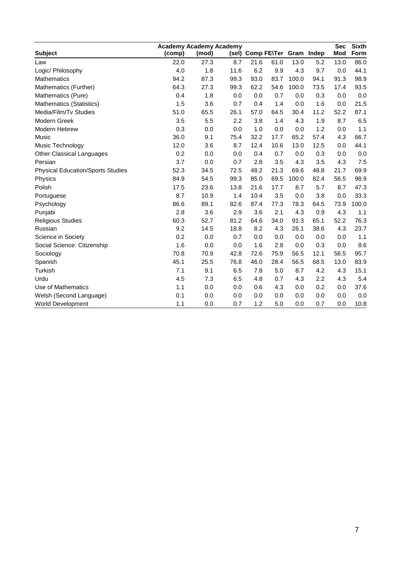|                                          | <b>Academy Academy Academy</b> |       |      |      |                              |       |      | <b>Sec</b> | <b>Sixth</b> |
|------------------------------------------|--------------------------------|-------|------|------|------------------------------|-------|------|------------|--------------|
| <b>Subject</b>                           | (comp)                         | (mod) |      |      | (sel) Comp FE\Ter Gram Indep |       |      | Mod        | Form         |
| Law                                      | 22.0                           | 27.3  | 8.7  | 21.6 | 61.0                         | 13.0  | 5.2  | 13.0       | 86.0         |
| Logic/ Philosophy                        | 4.0                            | 1.8   | 11.6 | 6.2  | 9.9                          | 4.3   | 9.7  | 0.0        | 44.1         |
| <b>Mathematics</b>                       | 94.2                           | 87.3  | 99.3 | 93.0 | 83.7                         | 100.0 | 94.1 | 91.3       | 98.9         |
| Mathematics (Further)                    | 64.3                           | 27.3  | 99.3 | 62.2 | 54.6                         | 100.0 | 73.5 | 17.4       | 93.5         |
| Mathematics (Pure)                       | 0.4                            | 1.8   | 0.0  | 0.0  | 0.7                          | 0.0   | 0.3  | 0.0        | 0.0          |
| Mathematics (Statistics)                 | 1.5                            | 3.6   | 0.7  | 0.4  | 1.4                          | 0.0   | 1.6  | 0.0        | 21.5         |
| Media/Film/Tv Studies                    | 51.0                           | 65.5  | 26.1 | 57.0 | 64.5                         | 30.4  | 11.2 | 52.2       | 87.1         |
| Modern Greek                             | 3.5                            | 5.5   | 2.2  | 3.8  | 1.4                          | 4.3   | 1.9  | 8.7        | 6.5          |
| Modern Hebrew                            | 0.3                            | 0.0   | 0.0  | 1.0  | 0.0                          | 0.0   | 1.2  | 0.0        | 1.1          |
| Music                                    | 36.0                           | 9.1   | 75.4 | 32.2 | 17.7                         | 65.2  | 57.4 | 4.3        | 66.7         |
| Music Technology                         | 12.0                           | 3.6   | 8.7  | 12.4 | 10.6                         | 13.0  | 12.5 | 0.0        | 44.1         |
| <b>Other Classical Languages</b>         | 0.2                            | 0.0   | 0.0  | 0.4  | 0.7                          | 0.0   | 0.3  | 0.0        | 0.0          |
| Persian                                  | 3.7                            | 0.0   | 0.7  | 2.8  | 3.5                          | 4.3   | 3.5  | 4.3        | 7.5          |
| <b>Physical Education/Sports Studies</b> | 52.3                           | 34.5  | 72.5 | 48.2 | 21.3                         | 69.6  | 48.8 | 21.7       | 69.9         |
| Physics                                  | 84.9                           | 54.5  | 99.3 | 85.0 | 69.5                         | 100.0 | 82.4 | 56.5       | 98.9         |
| Polish                                   | 17.5                           | 23.6  | 13.8 | 21.6 | 17.7                         | 8.7   | 5.7  | 8.7        | 47.3         |
| Portuguese                               | 8.7                            | 10.9  | 1.4  | 10.4 | 3.5                          | 0.0   | 3.8  | 0.0        | 33.3         |
| Psychology                               | 86.6                           | 89.1  | 82.6 | 87.4 | 77.3                         | 78.3  | 64.5 | 73.9       | 100.0        |
| Punjabi                                  | 2.8                            | 3.6   | 2.9  | 3.6  | 2.1                          | 4.3   | 0.9  | 4.3        | 1.1          |
| <b>Religious Studies</b>                 | 60.3                           | 52.7  | 81.2 | 64.6 | 34.0                         | 91.3  | 65.1 | 52.2       | 76.3         |
| Russian                                  | 9.2                            | 14.5  | 18.8 | 8.2  | 4.3                          | 26.1  | 38.6 | 4.3        | 23.7         |
| Science in Society                       | 0.2                            | 0.0   | 0.7  | 0.0  | 0.0                          | 0.0   | 0.0  | 0.0        | 1.1          |
| Social Science: Citizenship              | 1.6                            | 0.0   | 0.0  | 1.6  | 2.8                          | 0.0   | 0.3  | 0.0        | 8.6          |
| Sociology                                | 70.8                           | 70.9  | 42.8 | 72.6 | 75.9                         | 56.5  | 12.1 | 56.5       | 95.7         |
| Spanish                                  | 45.1                           | 25.5  | 76.8 | 46.0 | 28.4                         | 56.5  | 68.5 | 13.0       | 83.9         |
| Turkish                                  | 7.1                            | 9.1   | 6.5  | 7.8  | 5.0                          | 8.7   | 4.2  | 4.3        | 15.1         |
| Urdu                                     | 4.5                            | 7.3   | 6.5  | 4.8  | 0.7                          | 4.3   | 2.2  | 4.3        | 5.4          |
| Use of Mathematics                       | 1.1                            | 0.0   | 0.0  | 0.6  | 4.3                          | 0.0   | 0.2  | 0.0        | 37.6         |
| Welsh (Second Language)                  | 0.1                            | 0.0   | 0.0  | 0.0  | 0.0                          | 0.0   | 0.0  | 0.0        | 0.0          |
| World Development                        | 1.1                            | 0.0   | 0.7  | 1.2  | 5.0                          | 0.0   | 0.7  | 0.0        | 10.8         |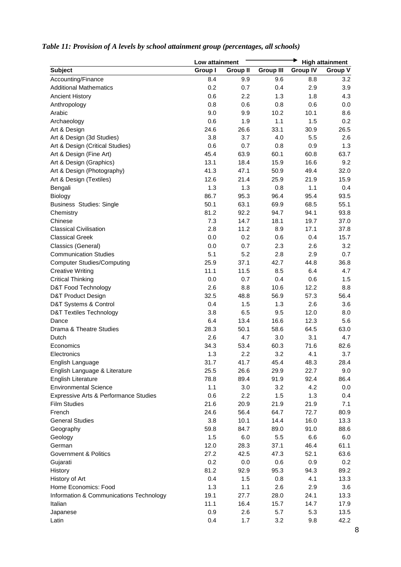|                                         | Low attainment |                 |                  |                 | <b>High attainment</b> |
|-----------------------------------------|----------------|-----------------|------------------|-----------------|------------------------|
| <b>Subject</b>                          | <b>Group I</b> | <b>Group II</b> | <b>Group III</b> | <b>Group IV</b> | <b>Group V</b>         |
| Accounting/Finance                      | 8.4            | 9.9             | 9.6              | 8.8             | 3.2                    |
| <b>Additional Mathematics</b>           | 0.2            | 0.7             | 0.4              | 2.9             | 3.9                    |
| <b>Ancient History</b>                  | 0.6            | 2.2             | 1.3              | 1.8             | 4.3                    |
| Anthropology                            | 0.8            | 0.6             | 0.8              | 0.6             | 0.0                    |
| Arabic                                  | 9.0            | 9.9             | 10.2             | 10.1            | 8.6                    |
| Archaeology                             | 0.6            | 1.9             | 1.1              | 1.5             | 0.2                    |
| Art & Design                            | 24.6           | 26.6            | 33.1             | 30.9            | 26.5                   |
| Art & Design (3d Studies)               | 3.8            | 3.7             | 4.0              | 5.5             | 2.6                    |
| Art & Design (Critical Studies)         | 0.6            | 0.7             | 0.8              | 0.9             | 1.3                    |
| Art & Design (Fine Art)                 | 45.4           | 63.9            | 60.1             | 60.8            | 63.7                   |
| Art & Design (Graphics)                 | 13.1           | 18.4            | 15.9             | 16.6            | 9.2                    |
| Art & Design (Photography)              | 41.3           | 47.1            | 50.9             | 49.4            | 32.0                   |
| Art & Design (Textiles)                 | 12.6           | 21.4            | 25.9             | 21.9            | 15.9                   |
| Bengali                                 | 1.3            | 1.3             | 0.8              | 1.1             | 0.4                    |
| Biology                                 | 86.7           | 95.3            | 96.4             | 95.4            | 93.5                   |
| <b>Business Studies: Single</b>         | 50.1           | 63.1            | 69.9             | 68.5            | 55.1                   |
| Chemistry                               | 81.2           | 92.2            | 94.7             | 94.1            | 93.8                   |
| Chinese                                 | 7.3            | 14.7            | 18.1             | 19.7            | 37.0                   |
| <b>Classical Civilisation</b>           | 2.8            | 11.2            | 8.9              | 17.1            | 37.8                   |
| <b>Classical Greek</b>                  | 0.0            | 0.2             | 0.6              | 0.4             | 15.7                   |
| Classics (General)                      | 0.0            | 0.7             | 2.3              | 2.6             | 3.2                    |
| <b>Communication Studies</b>            | 5.1            | 5.2             | 2.8              | 2.9             | 0.7                    |
| <b>Computer Studies/Computing</b>       | 25.9           | 37.1            | 42.7             | 44.8            | 36.8                   |
| <b>Creative Writing</b>                 | 11.1           | 11.5            | 8.5              | 6.4             | 4.7                    |
| <b>Critical Thinking</b>                | 0.0            | 0.7             | 0.4              | 0.6             | 1.5                    |
| D&T Food Technology                     | 2.6            | 8.8             | 10.6             | 12.2            | 8.8                    |
| D&T Product Design                      | 32.5           | 48.8            | 56.9             | 57.3            | 56.4                   |
| D&T Systems & Control                   | 0.4            | 1.5             | 1.3              | 2.6             | 3.6                    |
| <b>D&amp;T Textiles Technology</b>      | 3.8            | 6.5             | 9.5              | 12.0            | 8.0                    |
| Dance                                   | 6.4            | 13.4            | 16.6             | 12.3            | 5.6                    |
| Drama & Theatre Studies                 | 28.3           | 50.1            | 58.6             | 64.5            | 63.0                   |
| Dutch                                   | 2.6            | 4.7             | 3.0              | 3.1             | 4.7                    |
| Economics                               | 34.3           | 53.4            | 60.3             | 71.6            | 82.6                   |
| Electronics                             | 1.3            | 2.2             | 3.2              | 4.1             | 3.7                    |
| English Language                        | 31.7           | 41.7            | 45.4             | 48.3            | 28.4                   |
| English Language & Literature           | 25.5           | 26.6            | 29.9             | 22.7            | 9.0                    |
| <b>English Literature</b>               | 78.8           | 89.4            | 91.9             | 92.4            | 86.4                   |
| <b>Environmental Science</b>            | 1.1            | 3.0             | 3.2              | 4.2             | 0.0                    |
| Expressive Arts & Performance Studies   | 0.6            | 2.2             | 1.5              | 1.3             | 0.4                    |
| <b>Film Studies</b>                     | 21.6           | 20.9            | 21.9             | 21.9            | 7.1                    |
| French                                  | 24.6           | 56.4            | 64.7             | 72.7            | 80.9                   |
| <b>General Studies</b>                  | 3.8            | 10.1            | 14.4             | 16.0            | 13.3                   |
| Geography                               | 59.8           | 84.7            | 89.0             | 91.0            | 88.6                   |
| Geology                                 | 1.5            | 6.0             | 5.5              | 6.6             | 6.0                    |
| German                                  | 12.0           | 28.3            | 37.1             | 46.4            | 61.1                   |
| Government & Politics                   | 27.2           | 42.5            | 47.3             | 52.1            | 63.6                   |
| Gujarati                                | 0.2            | 0.0             | 0.6              | 0.9             | 0.2                    |
| History                                 | 81.2           | 92.9            | 95.3             | 94.3            | 89.2                   |
| History of Art                          | 0.4            | 1.5             | 0.8              | 4.1             | 13.3                   |
| Home Economics: Food                    | 1.3            | 1.1             | 2.6              | 2.9             | 3.6                    |
| Information & Communications Technology | 19.1           | 27.7            | 28.0             | 24.1            | 13.3                   |
| Italian                                 | 11.1           | 16.4            | 15.7             | 14.7            | 17.9                   |
| Japanese                                | 0.9            | 2.6             | 5.7              | 5.3             | 13.5                   |
| Latin                                   | 0.4            | 1.7             | 3.2              | 9.8             | 42.2                   |
|                                         |                |                 |                  |                 |                        |

# *Table 11: Provision of A levels by school attainment group (percentages, all schools)*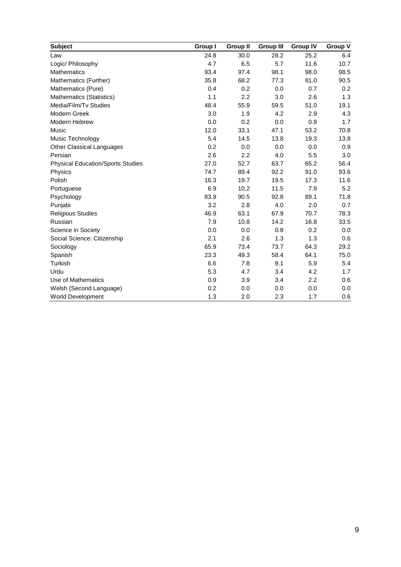| <b>Subject</b>                           | Group I | <b>Group II</b> | <b>Group III</b> | <b>Group IV</b> | <b>Group V</b> |
|------------------------------------------|---------|-----------------|------------------|-----------------|----------------|
| Law                                      | 24.8    | 30.0            | 28.2             | 25.2            | 6.4            |
| Logic/ Philosophy                        | 4.7     | 6.5             | 5.7              | 11.6            | 10.7           |
| <b>Mathematics</b>                       | 93.4    | 97.4            | 98.1             | 98.0            | 98.5           |
| Mathematics (Further)                    | 35.8    | 68.2            | 77.3             | 81.0            | 90.5           |
| Mathematics (Pure)                       | 0.4     | 0.2             | 0.0              | 0.7             | 0.2            |
| Mathematics (Statistics)                 | 1.1     | 2.2             | 3.0              | 2.6             | 1.3            |
| Media/Film/Tv Studies                    | 48.4    | 55.9            | 59.5             | 51.0            | 19.1           |
| Modern Greek                             | 3.0     | 1.9             | 4.2              | 2.9             | 4.3            |
| <b>Modern Hebrew</b>                     | 0.0     | 0.2             | 0.0              | 0.9             | 1.7            |
| Music                                    | 12.0    | 33.1            | 47.1             | 53.2            | 70.8           |
| Music Technology                         | 5.4     | 14.5            | 13.8             | 19.3            | 13.8           |
| <b>Other Classical Languages</b>         | 0.2     | 0.0             | 0.0              | 0.0             | 0.9            |
| Persian                                  | 2.6     | 2.2             | 4.0              | 5.5             | 3.0            |
| <b>Physical Education/Sports Studies</b> | 27.0    | 52.7            | 63.7             | 65.2            | 56.4           |
| Physics                                  | 74.7    | 89.4            | 92.2             | 91.0            | 93.6           |
| Polish                                   | 16.3    | 19.7            | 19.5             | 17.3            | 11.6           |
| Portuguese                               | 6.9     | 10.2            | 11.5             | 7.9             | 5.2            |
| Psychology                               | 83.9    | 90.5            | 92.8             | 89.1            | 71.8           |
| Punjabi                                  | 3.2     | 2.8             | 4.0              | 2.0             | 0.7            |
| <b>Religious Studies</b>                 | 46.9    | 63.1            | 67.9             | 70.7            | 78.3           |
| Russian                                  | 7.9     | 10.8            | 14.2             | 16.8            | 33.5           |
| Science in Society                       | 0.0     | 0.0             | 0.8              | 0.2             | 0.0            |
| Social Science: Citizenship              | 2.1     | 2.6             | 1.3              | 1.3             | 0.6            |
| Sociology                                | 65.9    | 73.4            | 73.7             | 64.3            | 29.2           |
| Spanish                                  | 23.3    | 49.3            | 58.4             | 64.1            | 75.0           |
| Turkish                                  | 6.6     | 7.8             | 9.1              | 5.9             | 5.4            |
| Urdu                                     | 5.3     | 4.7             | 3.4              | 4.2             | 1.7            |
| Use of Mathematics                       | 0.9     | 3.9             | 3.4              | 2.2             | 0.6            |
| Welsh (Second Language)                  | 0.2     | 0.0             | 0.0              | 0.0             | 0.0            |
| <b>World Development</b>                 | 1.3     | 2.0             | 2.3              | 1.7             | 0.6            |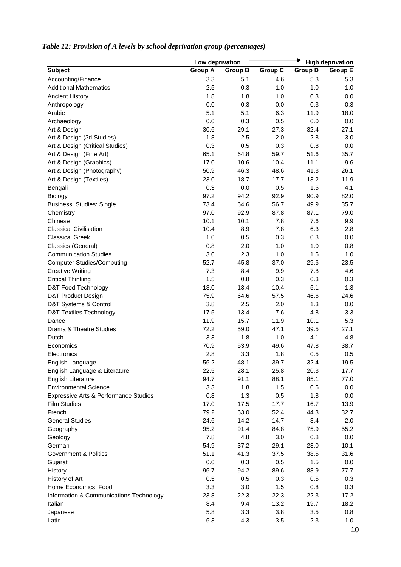|                                         | Low deprivation |                |                |                | <b>High deprivation</b> |
|-----------------------------------------|-----------------|----------------|----------------|----------------|-------------------------|
| <b>Subject</b>                          | <b>Group A</b>  | <b>Group B</b> | <b>Group C</b> | <b>Group D</b> | <b>Group E</b>          |
| Accounting/Finance                      | 3.3             | 5.1            | 4.6            | 5.3            | 5.3                     |
| <b>Additional Mathematics</b>           | 2.5             | 0.3            | 1.0            | 1.0            | 1.0                     |
| <b>Ancient History</b>                  | 1.8             | 1.8            | 1.0            | 0.3            | 0.0                     |
| Anthropology                            | 0.0             | 0.3            | 0.0            | 0.3            | 0.3                     |
| Arabic                                  | 5.1             | 5.1            | 6.3            | 11.9           | 18.0                    |
| Archaeology                             | 0.0             | 0.3            | 0.5            | 0.0            | 0.0                     |
| Art & Design                            | 30.6            | 29.1           | 27.3           | 32.4           | 27.1                    |
| Art & Design (3d Studies)               | 1.8             | 2.5            | 2.0            | 2.8            | 3.0                     |
| Art & Design (Critical Studies)         | 0.3             | 0.5            | 0.3            | 0.8            | 0.0                     |
| Art & Design (Fine Art)                 | 65.1            | 64.8           | 59.7           | 51.6           | 35.7                    |
| Art & Design (Graphics)                 | 17.0            | 10.6           | 10.4           | 11.1           | 9.6                     |
| Art & Design (Photography)              | 50.9            | 46.3           | 48.6           | 41.3           | 26.1                    |
| Art & Design (Textiles)                 | 23.0            | 18.7           | 17.7           | 13.2           | 11.9                    |
| Bengali                                 | 0.3             | 0.0            | 0.5            | 1.5            | 4.1                     |
| Biology                                 | 97.2            | 94.2           | 92.9           | 90.9           | 82.0                    |
| <b>Business Studies: Single</b>         | 73.4            | 64.6           | 56.7           | 49.9           | 35.7                    |
| Chemistry                               | 97.0            | 92.9           | 87.8           | 87.1           | 79.0                    |
| Chinese                                 | 10.1            | 10.1           | 7.8            | 7.6            | 9.9                     |
| <b>Classical Civilisation</b>           | 10.4            | 8.9            | 7.8            | 6.3            | 2.8                     |
| <b>Classical Greek</b>                  | 1.0             | 0.5            | 0.3            | 0.3            | 0.0                     |
| Classics (General)                      | 0.8             | 2.0            | 1.0            | 1.0            | 0.8                     |
| <b>Communication Studies</b>            | 3.0             | 2.3            | 1.0            | 1.5            | 1.0                     |
| <b>Computer Studies/Computing</b>       | 52.7            | 45.8           | 37.0           | 29.6           | 23.5                    |
| <b>Creative Writing</b>                 | 7.3             | 8.4            | 9.9            | 7.8            | 4.6                     |
| <b>Critical Thinking</b>                | 1.5             | 0.8            | 0.3            | 0.3            | 0.3                     |
| D&T Food Technology                     | 18.0            | 13.4           | 10.4           | 5.1            | 1.3                     |
| D&T Product Design                      | 75.9            | 64.6           | 57.5           | 46.6           | 24.6                    |
| D&T Systems & Control                   | 3.8             | 2.5            | 2.0            | 1.3            | 0.0                     |
| <b>D&amp;T Textiles Technology</b>      | 17.5            | 13.4           | 7.6            | 4.8            | 3.3                     |
| Dance                                   | 11.9            | 15.7           | 11.9           | 10.1           | 5.3                     |
| Drama & Theatre Studies                 | 72.2            | 59.0           | 47.1           | 39.5           | 27.1                    |
| Dutch                                   | 3.3             | 1.8            | 1.0            | 4.1            | 4.8                     |
| Economics                               | 70.9            | 53.9           | 49.6           | 47.8           | 38.7                    |
| Electronics                             | 2.8             | 3.3            | 1.8            | 0.5            | 0.5                     |
| English Language                        | 56.2            | 48.1           | 39.7           | 32.4           | 19.5                    |
| English Language & Literature           | 22.5            | 28.1           | 25.8           | 20.3           | 17.7                    |
| <b>English Literature</b>               | 94.7            | 91.1           | 88.1           | 85.1           | 77.0                    |
| <b>Environmental Science</b>            | 3.3             | 1.8            | 1.5            | 0.5            | 0.0                     |
| Expressive Arts & Performance Studies   | 0.8             | 1.3            | 0.5            | 1.8            | 0.0                     |
| <b>Film Studies</b>                     | 17.0            | 17.5           | 17.7           | 16.7           | 13.9                    |
| French                                  | 79.2            | 63.0           | 52.4           | 44.3           | 32.7                    |
| <b>General Studies</b>                  | 24.6            | 14.2           | 14.7           | 8.4            | 2.0                     |
| Geography                               | 95.2            | 91.4           | 84.8           | 75.9           | 55.2                    |
| Geology                                 | 7.8             | 4.8            | 3.0            | 0.8            | 0.0                     |
| German                                  | 54.9            | 37.2           | 29.1           | 23.0           | 10.1                    |
| <b>Government &amp; Politics</b>        | 51.1            | 41.3           | 37.5           | 38.5           | 31.6                    |
| Gujarati                                | 0.0             | 0.3            | 0.5            | 1.5            | 0.0                     |
|                                         | 96.7            | 94.2           |                | 88.9           | 77.7                    |
| History                                 |                 |                | 89.6           |                |                         |
| History of Art                          | 0.5             | 0.5            | 0.3            | 0.5            | 0.3                     |
| Home Economics: Food                    | 3.3             | 3.0            | 1.5            | 0.8            | 0.3                     |
| Information & Communications Technology | 23.8            | 22.3           | 22.3           | 22.3           | 17.2                    |
| Italian                                 | 8.4             | 9.4            | 13.2           | 19.7           | 18.2                    |
| Japanese                                | 5.8             | 3.3            | 3.8            | 3.5            | 0.8                     |
| Latin                                   | 6.3             | 4.3            | 3.5            | 2.3            | 1.0                     |

# *Table 12: Provision of A levels by school deprivation group (percentages)*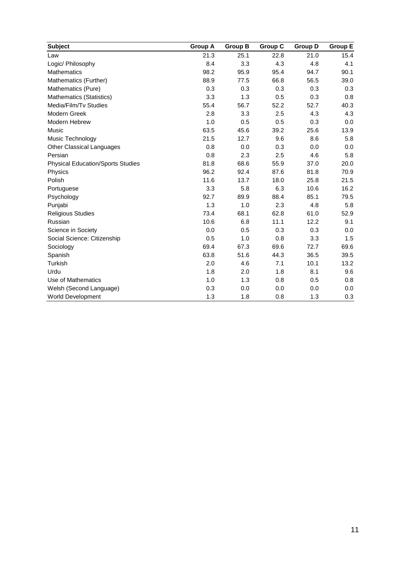| <b>Subject</b>                           | <b>Group A</b> | <b>Group B</b> | Group C | <b>Group D</b> | <b>Group E</b> |
|------------------------------------------|----------------|----------------|---------|----------------|----------------|
| Law                                      | 21.3           | 25.1           | 22.8    | 21.0           | 15.4           |
| Logic/ Philosophy                        | 8.4            | 3.3            | 4.3     | 4.8            | 4.1            |
| <b>Mathematics</b>                       | 98.2           | 95.9           | 95.4    | 94.7           | 90.1           |
| Mathematics (Further)                    | 88.9           | 77.5           | 66.8    | 56.5           | 39.0           |
| Mathematics (Pure)                       | 0.3            | 0.3            | 0.3     | 0.3            | 0.3            |
| Mathematics (Statistics)                 | 3.3            | 1.3            | 0.5     | 0.3            | 0.8            |
| Media/Film/Tv Studies                    | 55.4           | 56.7           | 52.2    | 52.7           | 40.3           |
| Modern Greek                             | 2.8            | 3.3            | 2.5     | 4.3            | 4.3            |
| Modern Hebrew                            | 1.0            | 0.5            | 0.5     | 0.3            | 0.0            |
| <b>Music</b>                             | 63.5           | 45.6           | 39.2    | 25.6           | 13.9           |
| Music Technology                         | 21.5           | 12.7           | 9.6     | 8.6            | 5.8            |
| <b>Other Classical Languages</b>         | 0.8            | 0.0            | 0.3     | 0.0            | 0.0            |
| Persian                                  | 0.8            | 2.3            | 2.5     | 4.6            | 5.8            |
| <b>Physical Education/Sports Studies</b> | 81.8           | 68.6           | 55.9    | 37.0           | 20.0           |
| Physics                                  | 96.2           | 92.4           | 87.6    | 81.8           | 70.9           |
| Polish                                   | 11.6           | 13.7           | 18.0    | 25.8           | 21.5           |
| Portuguese                               | 3.3            | 5.8            | 6.3     | 10.6           | 16.2           |
| Psychology                               | 92.7           | 89.9           | 88.4    | 85.1           | 79.5           |
| Punjabi                                  | 1.3            | 1.0            | 2.3     | 4.8            | 5.8            |
| <b>Religious Studies</b>                 | 73.4           | 68.1           | 62.8    | 61.0           | 52.9           |
| Russian                                  | 10.6           | 6.8            | 11.1    | 12.2           | 9.1            |
| Science in Society                       | 0.0            | 0.5            | 0.3     | 0.3            | 0.0            |
| Social Science: Citizenship              | 0.5            | 1.0            | 0.8     | 3.3            | 1.5            |
| Sociology                                | 69.4           | 67.3           | 69.6    | 72.7           | 69.6           |
| Spanish                                  | 63.8           | 51.6           | 44.3    | 36.5           | 39.5           |
| <b>Turkish</b>                           | 2.0            | 4.6            | 7.1     | 10.1           | 13.2           |
| Urdu                                     | 1.8            | 2.0            | 1.8     | 8.1            | 9.6            |
| Use of Mathematics                       | 1.0            | 1.3            | 0.8     | 0.5            | 0.8            |
| Welsh (Second Language)                  | 0.3            | 0.0            | 0.0     | 0.0            | 0.0            |
| <b>World Development</b>                 | 1.3            | 1.8            | 0.8     | 1.3            | 0.3            |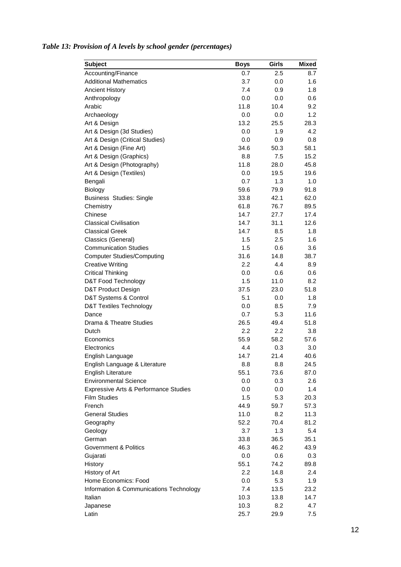| <b>Subject</b>                          | Boys | Girls | <b>Mixed</b> |
|-----------------------------------------|------|-------|--------------|
| Accounting/Finance                      | 0.7  | 2.5   | 8.7          |
| <b>Additional Mathematics</b>           | 3.7  | 0.0   | 1.6          |
| <b>Ancient History</b>                  | 7.4  | 0.9   | 1.8          |
| Anthropology                            | 0.0  | 0.0   | 0.6          |
| Arabic                                  | 11.8 | 10.4  | 9.2          |
| Archaeology                             | 0.0  | 0.0   | 1.2          |
| Art & Design                            | 13.2 | 25.5  | 28.3         |
| Art & Design (3d Studies)               | 0.0  | 1.9   | 4.2          |
| Art & Design (Critical Studies)         | 0.0  | 0.9   | 0.8          |
| Art & Design (Fine Art)                 | 34.6 | 50.3  | 58.1         |
| Art & Design (Graphics)                 | 8.8  | 7.5   | 15.2         |
| Art & Design (Photography)              | 11.8 | 28.0  | 45.8         |
| Art & Design (Textiles)                 | 0.0  | 19.5  | 19.6         |
| Bengali                                 | 0.7  | 1.3   | 1.0          |
| Biology                                 | 59.6 | 79.9  | 91.8         |
| <b>Business Studies: Single</b>         | 33.8 | 42.1  | 62.0         |
| Chemistry                               | 61.8 | 76.7  | 89.5         |
| Chinese                                 | 14.7 | 27.7  | 17.4         |
| <b>Classical Civilisation</b>           | 14.7 | 31.1  | 12.6         |
| <b>Classical Greek</b>                  | 14.7 | 8.5   | 1.8          |
| Classics (General)                      | 1.5  | 2.5   | 1.6          |
| <b>Communication Studies</b>            | 1.5  | 0.6   | 3.6          |
| <b>Computer Studies/Computing</b>       | 31.6 | 14.8  | 38.7         |
| <b>Creative Writing</b>                 | 2.2  | 4.4   | 8.9          |
| <b>Critical Thinking</b>                | 0.0  | 0.6   | 0.6          |
| D&T Food Technology                     | 1.5  | 11.0  | 8.2          |
| D&T Product Design                      | 37.5 | 23.0  | 51.8         |
| D&T Systems & Control                   | 5.1  | 0.0   | 1.8          |
| <b>D&amp;T Textiles Technology</b>      | 0.0  | 8.5   | 7.9          |
| Dance                                   | 0.7  | 5.3   | 11.6         |
| Drama & Theatre Studies                 | 26.5 | 49.4  | 51.8         |
| Dutch                                   | 2.2  | 2.2   | 3.8          |
| Economics                               | 55.9 | 58.2  | 57.6         |
| Electronics                             | 4.4  | 0.3   | 3.0          |
| English Language                        | 14.7 | 21.4  | 40.6         |
| English Language & Literature           | 8.8  | 8.8   | 24.5         |
| <b>English Literature</b>               | 55.1 | 73.6  | 87.0         |
| <b>Environmental Science</b>            | 0.0  | 0.3   | 2.6          |
| Expressive Arts & Performance Studies   | 0.0  | 0.0   | 1.4          |
| <b>Film Studies</b>                     | 1.5  | 5.3   | 20.3         |
| French                                  | 44.9 | 59.7  | 57.3         |
| <b>General Studies</b>                  | 11.0 | 8.2   | 11.3         |
| Geography                               | 52.2 | 70.4  | 81.2         |
| Geology                                 | 3.7  | 1.3   | 5.4          |
| German                                  | 33.8 | 36.5  | 35.1         |
| Government & Politics                   | 46.3 | 46.2  | 43.9         |
| Gujarati                                | 0.0  | 0.6   | 0.3          |
| History                                 | 55.1 | 74.2  | 89.8         |
| History of Art                          | 2.2  | 14.8  | 2.4          |
| Home Economics: Food                    | 0.0  | 5.3   | 1.9          |
| Information & Communications Technology | 7.4  | 13.5  | 23.2         |
| Italian                                 | 10.3 | 13.8  | 14.7         |
| Japanese                                | 10.3 | 8.2   | 4.7          |
| Latin                                   | 25.7 | 29.9  | 7.5          |

# *Table 13: Provision of A levels by school gender (percentages)*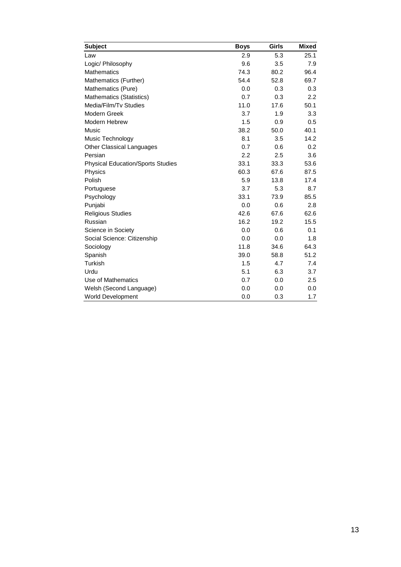| <b>Subject</b>                           | <b>Boys</b> | Girls | <b>Mixed</b> |
|------------------------------------------|-------------|-------|--------------|
| Law                                      | 2.9         | 5.3   | 25.1         |
| Logic/ Philosophy                        | 9.6         | 3.5   | 7.9          |
| <b>Mathematics</b>                       | 74.3        | 80.2  | 96.4         |
| Mathematics (Further)                    | 54.4        | 52.8  | 69.7         |
| Mathematics (Pure)                       | 0.0         | 0.3   | 0.3          |
| Mathematics (Statistics)                 | 0.7         | 0.3   | 2.2          |
| Media/Film/Tv Studies                    | 11.0        | 17.6  | 50.1         |
| Modern Greek                             | 3.7         | 1.9   | 3.3          |
| Modern Hebrew                            | 1.5         | 0.9   | 0.5          |
| Music                                    | 38.2        | 50.0  | 40.1         |
| Music Technology                         | 8.1         | 3.5   | 14.2         |
| <b>Other Classical Languages</b>         | 0.7         | 0.6   | 0.2          |
| Persian                                  | 2.2         | 2.5   | 3.6          |
| <b>Physical Education/Sports Studies</b> | 33.1        | 33.3  | 53.6         |
| Physics                                  | 60.3        | 67.6  | 87.5         |
| Polish                                   | 5.9         | 13.8  | 17.4         |
| Portuguese                               | 3.7         | 5.3   | 8.7          |
| Psychology                               | 33.1        | 73.9  | 85.5         |
| Punjabi                                  | 0.0         | 0.6   | 2.8          |
| <b>Religious Studies</b>                 | 42.6        | 67.6  | 62.6         |
| Russian                                  | 16.2        | 19.2  | 15.5         |
| Science in Society                       | 0.0         | 0.6   | 0.1          |
| Social Science: Citizenship              | 0.0         | 0.0   | 1.8          |
| Sociology                                | 11.8        | 34.6  | 64.3         |
| Spanish                                  | 39.0        | 58.8  | 51.2         |
| Turkish                                  | 1.5         | 4.7   | 7.4          |
| Urdu                                     | 5.1         | 6.3   | 3.7          |
| Use of Mathematics                       | 0.7         | 0.0   | 2.5          |
| Welsh (Second Language)                  | 0.0         | 0.0   | 0.0          |
| <b>World Development</b>                 | 0.0         | 0.3   | 1.7          |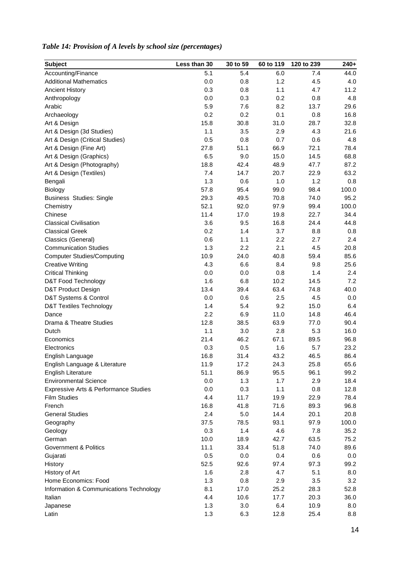| <b>Subject</b>                          | Less than 30 | 30 to 59 | 60 to 119 | 120 to 239 | $240+$ |
|-----------------------------------------|--------------|----------|-----------|------------|--------|
| Accounting/Finance                      | 5.1          | 5.4      | 6.0       | 7.4        | 44.0   |
| <b>Additional Mathematics</b>           | 0.0          | 0.8      | 1.2       | 4.5        | 4.0    |
| <b>Ancient History</b>                  | 0.3          | 0.8      | 1.1       | 4.7        | 11.2   |
| Anthropology                            | 0.0          | 0.3      | 0.2       | 0.8        | 4.8    |
| Arabic                                  | 5.9          | 7.6      | 8.2       | 13.7       | 29.6   |
| Archaeology                             | 0.2          | 0.2      | 0.1       | 0.8        | 16.8   |
| Art & Design                            | 15.8         | 30.8     | 31.0      | 28.7       | 32.8   |
| Art & Design (3d Studies)               | 1.1          | 3.5      | 2.9       | 4.3        | 21.6   |
| Art & Design (Critical Studies)         | 0.5          | 0.8      | 0.7       | 0.6        | 4.8    |
| Art & Design (Fine Art)                 | 27.8         | 51.1     | 66.9      | 72.1       | 78.4   |
| Art & Design (Graphics)                 | 6.5          | 9.0      | 15.0      | 14.5       | 68.8   |
| Art & Design (Photography)              | 18.8         | 42.4     | 48.9      | 47.7       | 87.2   |
| Art & Design (Textiles)                 | 7.4          | 14.7     | 20.7      | 22.9       | 63.2   |
| Bengali                                 | 1.3          | 0.6      | 1.0       | 1.2        | 0.8    |
| Biology                                 | 57.8         | 95.4     | 99.0      | 98.4       | 100.0  |
| <b>Business Studies: Single</b>         | 29.3         | 49.5     | 70.8      | 74.0       | 95.2   |
| Chemistry                               | 52.1         | 92.0     | 97.9      | 99.4       | 100.0  |
| Chinese                                 | 11.4         | 17.0     | 19.8      | 22.7       | 34.4   |
| <b>Classical Civilisation</b>           | 3.6          | 9.5      | 16.8      | 24.4       | 44.8   |
| <b>Classical Greek</b>                  | 0.2          | 1.4      | 3.7       | 8.8        | 0.8    |
| Classics (General)                      | 0.6          | 1.1      | 2.2       | 2.7        | 2.4    |
| <b>Communication Studies</b>            | 1.3          | 2.2      | 2.1       | 4.5        | 20.8   |
| <b>Computer Studies/Computing</b>       | 10.9         | 24.0     | 40.8      | 59.4       | 85.6   |
| <b>Creative Writing</b>                 | 4.3          | 6.6      | 8.4       | 9.8        | 25.6   |
| <b>Critical Thinking</b>                | 0.0          | 0.0      | 0.8       | 1.4        | 2.4    |
| D&T Food Technology                     | 1.6          | 6.8      | 10.2      | 14.5       | 7.2    |
| D&T Product Design                      | 13.4         | 39.4     | 63.4      | 74.8       | 40.0   |
| D&T Systems & Control                   | 0.0          | 0.6      | 2.5       | 4.5        | 0.0    |
| <b>D&amp;T Textiles Technology</b>      | 1.4          | 5.4      | 9.2       | 15.0       | 6.4    |
| Dance                                   | 2.2          | 6.9      | 11.0      | 14.8       | 46.4   |
| Drama & Theatre Studies                 | 12.8         | 38.5     | 63.9      | 77.0       | 90.4   |
| Dutch                                   | 1.1          | 3.0      | 2.8       | 5.3        | 16.0   |
| Economics                               | 21.4         | 46.2     | 67.1      | 89.5       | 96.8   |
| Electronics                             | 0.3          | 0.5      | 1.6       | 5.7        | 23.2   |
| English Language                        | 16.8         | 31.4     | 43.2      | 46.5       | 86.4   |
| English Language & Literature           | 11.9         | 17.2     | 24.3      | 25.8       | 65.6   |
| English Literature                      | 51.1         | 86.9     | 95.5      | 96.1       | 99.2   |
| <b>Environmental Science</b>            | 0.0          | 1.3      | 1.7       | 2.9        | 18.4   |
| Expressive Arts & Performance Studies   | 0.0          | 0.3      | 1.1       | 0.8        | 12.8   |
| <b>Film Studies</b>                     | 4.4          | 11.7     | 19.9      | 22.9       | 78.4   |
| French                                  | 16.8         | 41.8     | 71.6      | 89.3       | 96.8   |
| <b>General Studies</b>                  | 2.4          | 5.0      | 14.4      | 20.1       | 20.8   |
| Geography                               | 37.5         | 78.5     | 93.1      | 97.9       | 100.0  |
| Geology                                 | 0.3          | 1.4      | 4.6       | 7.8        | 35.2   |
| German                                  | 10.0         | 18.9     | 42.7      | 63.5       | 75.2   |
| <b>Government &amp; Politics</b>        | 11.1         | 33.4     | 51.8      | 74.0       | 89.6   |
| Gujarati                                | 0.5          | 0.0      | 0.4       | 0.6        | 0.0    |
| History                                 | 52.5         | 92.6     | 97.4      | 97.3       | 99.2   |
| History of Art                          | 1.6          | 2.8      | 4.7       | 5.1        | 8.0    |
| Home Economics: Food                    | 1.3          | 0.8      | 2.9       | 3.5        | 3.2    |
| Information & Communications Technology | 8.1          | 17.0     | 25.2      | 28.3       | 52.8   |
| Italian                                 | 4.4          | 10.6     | 17.7      | 20.3       | 36.0   |
| Japanese                                | 1.3          | 3.0      | 6.4       | 10.9       | 8.0    |
| Latin                                   | 1.3          | 6.3      | 12.8      | 25.4       | 8.8    |

# *Table 14: Provision of A levels by school size (percentages)*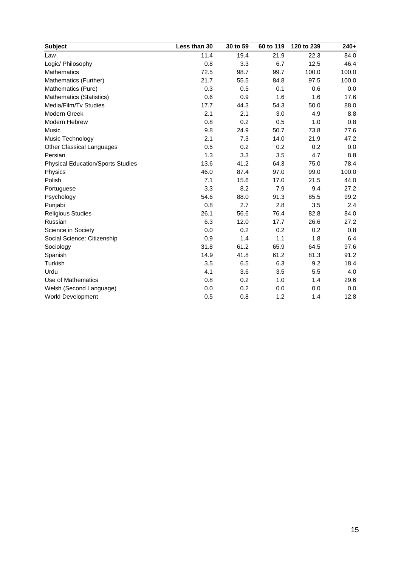| <b>Subject</b>                           | Less than 30 | 30 to 59 | 60 to 119 | 120 to 239 | $240+$ |
|------------------------------------------|--------------|----------|-----------|------------|--------|
| Law                                      | 11.4         | 19.4     | 21.9      | 22.3       | 84.0   |
| Logic/ Philosophy                        | 0.8          | 3.3      | 6.7       | 12.5       | 46.4   |
| <b>Mathematics</b>                       | 72.5         | 98.7     | 99.7      | 100.0      | 100.0  |
| Mathematics (Further)                    | 21.7         | 55.5     | 84.8      | 97.5       | 100.0  |
| Mathematics (Pure)                       | 0.3          | 0.5      | 0.1       | 0.6        | 0.0    |
| Mathematics (Statistics)                 | 0.6          | 0.9      | 1.6       | 1.6        | 17.6   |
| Media/Film/Tv Studies                    | 17.7         | 44.3     | 54.3      | 50.0       | 88.0   |
| Modern Greek                             | 2.1          | 2.1      | 3.0       | 4.9        | 8.8    |
| Modern Hebrew                            | 0.8          | 0.2      | 0.5       | 1.0        | 0.8    |
| <b>Music</b>                             | 9.8          | 24.9     | 50.7      | 73.8       | 77.6   |
| Music Technology                         | 2.1          | 7.3      | 14.0      | 21.9       | 47.2   |
| Other Classical Languages                | 0.5          | 0.2      | 0.2       | 0.2        | 0.0    |
| Persian                                  | 1.3          | 3.3      | 3.5       | 4.7        | 8.8    |
| <b>Physical Education/Sports Studies</b> | 13.6         | 41.2     | 64.3      | 75.0       | 78.4   |
| <b>Physics</b>                           | 46.0         | 87.4     | 97.0      | 99.0       | 100.0  |
| Polish                                   | 7.1          | 15.6     | 17.0      | 21.5       | 44.0   |
| Portuguese                               | 3.3          | 8.2      | 7.9       | 9.4        | 27.2   |
| Psychology                               | 54.6         | 88.0     | 91.3      | 85.5       | 99.2   |
| Punjabi                                  | 0.8          | 2.7      | 2.8       | 3.5        | 2.4    |
| <b>Religious Studies</b>                 | 26.1         | 56.6     | 76.4      | 82.8       | 84.0   |
| Russian                                  | 6.3          | 12.0     | 17.7      | 26.6       | 27.2   |
| Science in Society                       | 0.0          | 0.2      | 0.2       | 0.2        | 0.8    |
| Social Science: Citizenship              | 0.9          | 1.4      | 1.1       | 1.8        | 6.4    |
| Sociology                                | 31.8         | 61.2     | 65.9      | 64.5       | 97.6   |
| Spanish                                  | 14.9         | 41.8     | 61.2      | 81.3       | 91.2   |
| <b>Turkish</b>                           | 3.5          | 6.5      | 6.3       | 9.2        | 18.4   |
| Urdu                                     | 4.1          | 3.6      | 3.5       | 5.5        | 4.0    |
| Use of Mathematics                       | 0.8          | 0.2      | 1.0       | 1.4        | 29.6   |
| Welsh (Second Language)                  | 0.0          | 0.2      | 0.0       | 0.0        | 0.0    |
| <b>World Development</b>                 | 0.5          | 0.8      | 1.2       | 1.4        | 12.8   |